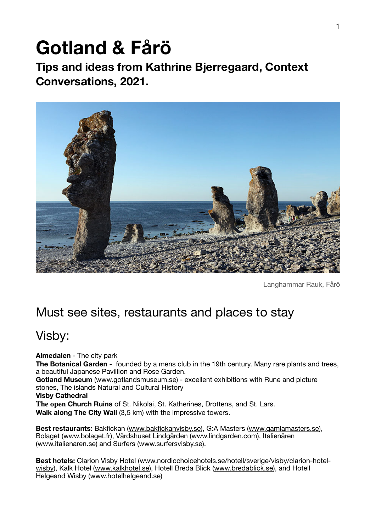# **Gotland & Fårö**

**Tips and ideas from Kathrine Bjerregaard, Context Conversations, 2021.**



Langhammar Rauk, Fårö

### Must see sites, restaurants and places to stay

#### Visby:

**Almedalen** - The city park **The Botanical Garden** - founded by a mens club in the 19th century. Many rare plants and trees, a beautiful Japanese Pavillion and Rose Garden. **Gotland Museum** [\(www.gotlandsmuseum.se](http://www.gotlandsmuseum.se)) - excellent exhibitions with Rune and picture

stones, The islands Natural and Cultural History

#### **Visby Cathedral**

**The open Church Ruins** of St. Nikolai, St. Katherines, Drottens, and St. Lars. **Walk along The City Wall** (3,5 km) with the impressive towers.

**Best restaurants:** Bakfickan [\(www.bakfickanvisby.se](http://www.bakfickanvisby.se)), G:A Masters [\(www.gamlamasters.se](http://www.gamlamasters.se)), Bolaget [\(www.bolaget.fr\)](http://www.bolaget.fr), Värdshuset Lindgården [\(www.lindgarden.com](http://www.lindgarden.com)), Italienären ([www.italienaren.se\)](http://www.italienaren.se) and Surfers [\(www.surfersvisby.se](http://www.surfersvisby.se)).

**Best hotels:** Clarion Visby Hotel [\(www.nordicchoicehotels.se/hotell/sverige/visby/clarion-hotel](http://www.nordicchoicehotels.se/hotell/sverige/visby/clarion-hotel-wisby)[wisby\)](http://www.nordicchoicehotels.se/hotell/sverige/visby/clarion-hotel-wisby), Kalk Hotel [\(www.kalkhotel.se](http://www.kalkhotel.se)), Hotell Breda Blick [\(www.bredablick.se](http://www.bredablick.se)), and Hotell Helgeand Wisby ([www.hotelhelgeand.se](http://www.hotelhelgeand.se))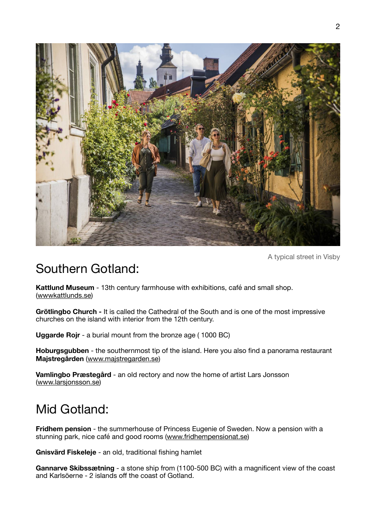

A typical street in Visby

### Southern Gotland:

**Kattlund Museum** - 13th century farmhouse with exhibitions, café and small shop. ([wwwkattlunds.se](http://wwwkattlunds.se))

**Grötlingbo Church -** It is called the Cathedral of the South and is one of the most impressive churches on the island with interior from the 12th century.

**Uggarde Rojr** - a burial mount from the bronze age ( 1000 BC)

**Hoburgsgubben** - the southernmost tip of the island. Here you also find a panorama restaurant **Majstregården** ([www.majstregarden.se](http://www.majstregarden.se))

**Vamlingbo Præstegård** - an old rectory and now the home of artist Lars Jonsson ([www.larsjonsson.se](http://www.larsjonsson.se))

# Mid Gotland:

**Fridhem pension** - the summerhouse of Princess Eugenie of Sweden. Now a pension with a stunning park, nice café and good rooms [\(www.fridhempensionat.se\)](http://www.fridhempensionat.se)

**Gnisvärd Fiskeleje** - an old, traditional fishing hamlet

**Gannarve Skibssætning** - a stone ship from (1100-500 BC) with a magnificent view of the coast and Karlsöerne - 2 islands off the coast of Gotland.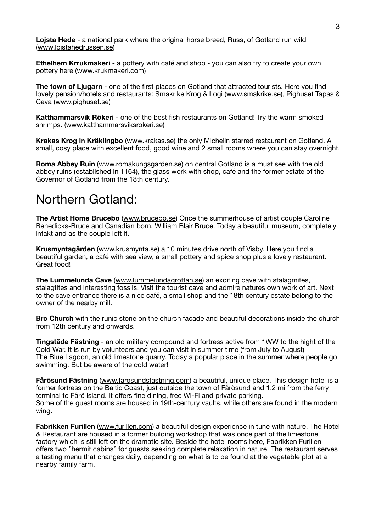**Lojsta Hede** - a national park where the original horse breed, Russ, of Gotland run wild ([www.lojstahedrussen.se\)](http://www.lojstahedrussen.se)

**Ethelhem Krrukmakeri** - a pottery with café and shop - you can also try to create your own pottery here ([www.krukmakeri.com](http://www.krukmakeri.com))

**The town of Ljugarn** - one of the first places on Gotland that attracted tourists. Here you find lovely pension/hotels and restaurants: Smakrike Krog & Logi [\(www.smakrike.se\)](http://www.smakrike.se), Pighuset Tapas & Cava ([www.pighuset.se](http://www.pighuset.se))

**Katthammarsvik Rökeri** - one of the best fish restaurants on Gotland! Try the warm smoked shrimps. ([www.katthammarsviksrokeri.se\)](http://www.katthammarsviksrokeri.se)

**Krakas Krog in Kräklingbo** ([www.krakas.se](http://www.krakas.se)) the only Michelin starred restaurant on Gotland. A small, cosy place with excellent food, good wine and 2 small rooms where you can stay overnight.

**Roma Abbey Ruin** [\(www.romakungsgarden.se](http://www.romakungsgarden.se)) on central Gotland is a must see with the old abbey ruins (established in 1164), the glass work with shop, café and the former estate of the Governor of Gotland from the 18th century.

#### Northern Gotland:

**The Artist Home Brucebo** [\(www.brucebo.se](http://www.brucebo.se)) Once the summerhouse of artist couple Caroline Benedicks-Bruce and Canadian born, William Blair Bruce. Today a beautiful museum, completely intakt and as the couple left it.

**Krusmyntagården** [\(www.krusmynta.se\)](http://www.krusmynta.se) a 10 minutes drive north of Visby. Here you find a beautiful garden, a café with sea view, a small pottery and spice shop plus a lovely restaurant. Great food!

**The Lummelunda Cave** ([www.lummelundagrottan.se](http://www.lummelundagrottan.se)) an exciting cave with stalagmites, stalagtites and interesting fossils. Visit the tourist cave and admire natures own work of art. Next to the cave entrance there is a nice café, a small shop and the 18th century estate belong to the owner of the nearby mill.

**Bro Church** with the runic stone on the church facade and beautiful decorations inside the church from 12th century and onwards.

**Tingstäde Fästning** - an old military compound and fortress active from 1WW to the hight of the Cold War. It is run by volunteers and you can visit in summer time (from July to August) The Blue Lagoon, an old limestone quarry. Today a popular place in the summer where people go swimming. But be aware of the cold water!

**Fårösund Fästning** [\(www.farosundsfastning.com](http://www.farosundsfastning.com)) a beautiful, unique place. This design hotel is a former fortress on the Baltic Coast, just outside the town of Fårösund and 1.2 mi from the ferry terminal to Fårö island. It offers fine dining, free Wi-Fi and private parking. Some of the guest rooms are housed in 19th-century vaults, while others are found in the modern wing.

**Fabrikken Furillen** [\(www.furillen.com\)](http://www.furillen.com) a beautiful design experience in tune with nature. The Hotel & Restaurant are housed in a former building workshop that was once part of the limestone factory which is still left on the dramatic site. Beside the hotel rooms here, Fabrikken Furillen offers two "hermit cabins" for guests seeking complete relaxation in nature. The restaurant serves a tasting menu that changes daily, depending on what is to be found at the vegetable plot at a nearby family farm.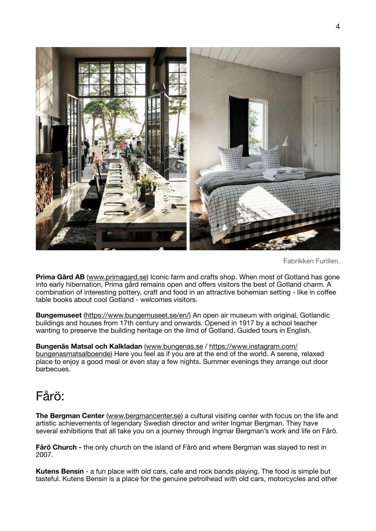

Fabrikken Furillen.

**Prima Gård AB** [\(www.primagard.se](http://www.primagard.se)) Iconic farm and crafts shop. When most of Gotland has gone into early hibernation, Prima gård remains open and offers visitors the best of Gotland charm. A combination of interesting pottery, craft and food in an attractive bohemian setting - like in coffee table books about cool Gotland - welcomes visitors.

**Bungemuseet** [\(https://www.bungemuseet.se/en/](http://www.bungemuseet.se)) An open air museum with original, Gotlandic buildings and houses from 17th century and onwards. Opened in 1917 by a school teacher wanting to preserve the building heritage on the ilmd of Gotland. Guided tours in English.

**Bungenäs Matsal och Kalkladan** [\(www.bungenas.se](http://www.bungenas.se) / [https://www.instagram.com/](https://www.instagram.com/bungenasmatsalboende) [bungenasmatsalboende](https://www.instagram.com/bungenasmatsalboende)) Here you feel as if you are at the end of the world. A serene, relaxed place to enjoy a good meal or even stay a few nights. Summer evenings they arrange out door barbecues.

### Fårö:

**The Bergman Center** [\(www.bergmancenter.se\)](https://www.bergmancenter.se/in-english-2/) a cultural visiting center with focus on the life and artistic achievements of legendary Swedish director and writer Ingmar Bergman. They have several exhibitions that all take you on a journey through Ingmar Bergman's work and life on Fårö.

**Fårö Church -** the only church on the island of Fårö and where Bergman was slayed to rest in 2007.

**Kutens Bensin** - a fun place with old cars, cafe and rock bands playing. The food is simple but tasteful. Kutens Bensin is a place for the genuine petrolhead with old cars, motorcycles and other